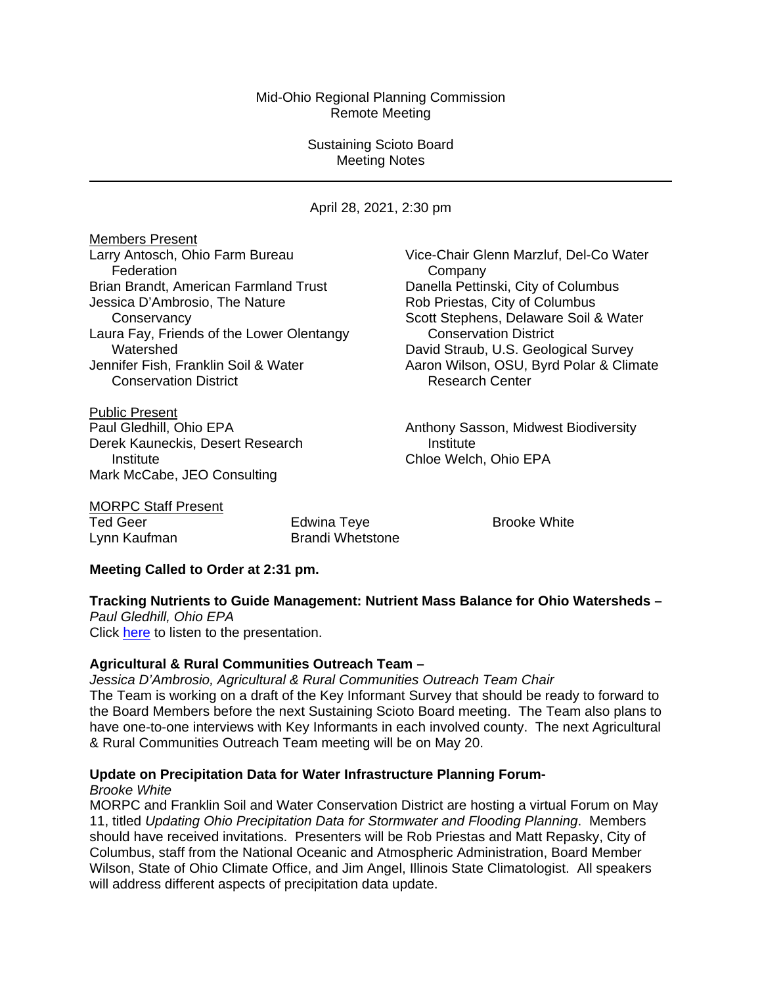#### Mid-Ohio Regional Planning Commission Remote Meeting

#### Sustaining Scioto Board Meeting Notes

April 28, 2021, 2:30 pm

**Members Present**<br>Larry Antosch, Ohio Farm Bureau Federation **Company** Brian Brandt, American Farmland Trust Danella Pettinski, City of Columbus Jessica D'Ambrosio, The Nature **Rob Priestas**, City of Columbus Laura Fay, Friends of the Lower Olentangy Conservation District Watershed **Watershed David Straub, U.S. Geological Survey**<br>Jennifer Fish, Franklin Soil & Water **David Straub, Aaron Wilson, OSU, Byrd Polar & Clim** Conservation District **Research Center** Research Center

Public Present Derek Kauneckis, Desert Research **Institute Institute** Chloe Welch, Ohio EPA Mark McCabe, JEO Consulting

Vice-Chair Glenn Marzluf, Del-Co Water Conservancy Scott Stephens, Delaware Soil & Water Aaron Wilson, OSU, Byrd Polar & Climate

Paul Gledhill, Ohio EPA **Anthony Sasson, Midwest Biodiversity** 

|       | <b>MORPC Staff Present</b> |
|-------|----------------------------|
| - - - |                            |

Ted Geer Edwina Teye Brooke White Lynn Kaufman Brandi Whetstone

# **Meeting Called to Order at 2:31 pm.**

**Tracking Nutrients to Guide Management: Nutrient Mass Balance for Ohio Watersheds –** *Paul Gledhill, Ohio EPA* 

Click [here](https://morpc1-my.sharepoint.com/:v:/g/personal/lkaufman_morpc_org/Ef0YBAqn22BLtGZVVtRVDNkBcJ9ujYZKsxfac4qa-aNi-Q?e=XYRSaj) to listen to the presentation.

# **Agricultural & Rural Communities Outreach Team –**

*Jessica D'Ambrosio, Agricultural & Rural Communities Outreach Team Chair* The Team is working on a draft of the Key Informant Survey that should be ready to forward to the Board Members before the next Sustaining Scioto Board meeting. The Team also plans to have one-to-one interviews with Key Informants in each involved county. The next Agricultural & Rural Communities Outreach Team meeting will be on May 20.

# **Update on Precipitation Data for Water Infrastructure Planning Forum-**

*Brooke White*

MORPC and Franklin Soil and Water Conservation District are hosting a virtual Forum on May 11, titled *Updating Ohio Precipitation Data for Stormwater and Flooding Planning*. Members should have received invitations. Presenters will be Rob Priestas and Matt Repasky, City of Columbus, staff from the National Oceanic and Atmospheric Administration, Board Member Wilson, State of Ohio Climate Office, and Jim Angel, Illinois State Climatologist. All speakers will address different aspects of precipitation data update.